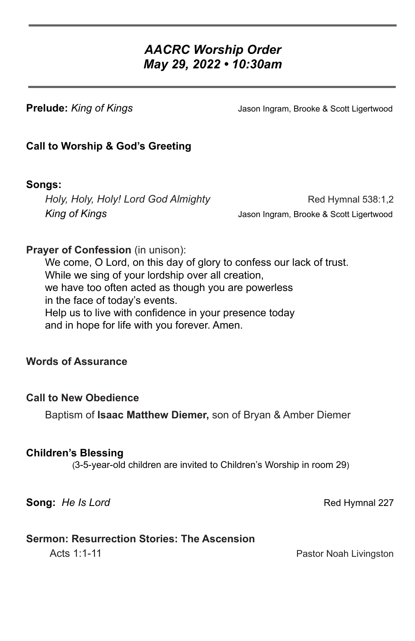# *AACRC Worship Order May 29, 2022 • 10:30am*

**Prelude:** *King of Kings* The Mass of the Mass of Ingram, Brooke & Scott Ligertwood

## **Call to Worship & God's Greeting**

## **Songs:**

*Holy, Holy, Holy! Lord God Almighty* Red Hymnal 538:1,2 *King of Kings* Jason Ingram, Brooke & Scott Ligertwood

## **Prayer of Confession** (in unison):

We come, O Lord, on this day of glory to confess our lack of trust. While we sing of your lordship over all creation, we have too often acted as though you are powerless in the face of today's events. Help us to live with confidence in your presence today and in hope for life with you forever. Amen.

### **Words of Assurance**

#### **Call to New Obedience**

Baptism of **Isaac Matthew Diemer,** son of Bryan & Amber Diemer

#### **Children's Blessing**

(3-5-year-old children are invited to Children's Worship in room 29)

**Song:** *He Is Lord* **Red Hymnal 227** 

#### **Sermon: Resurrection Stories: The Ascension**

Acts 1:1-11 **Pastor Noah Livingston**